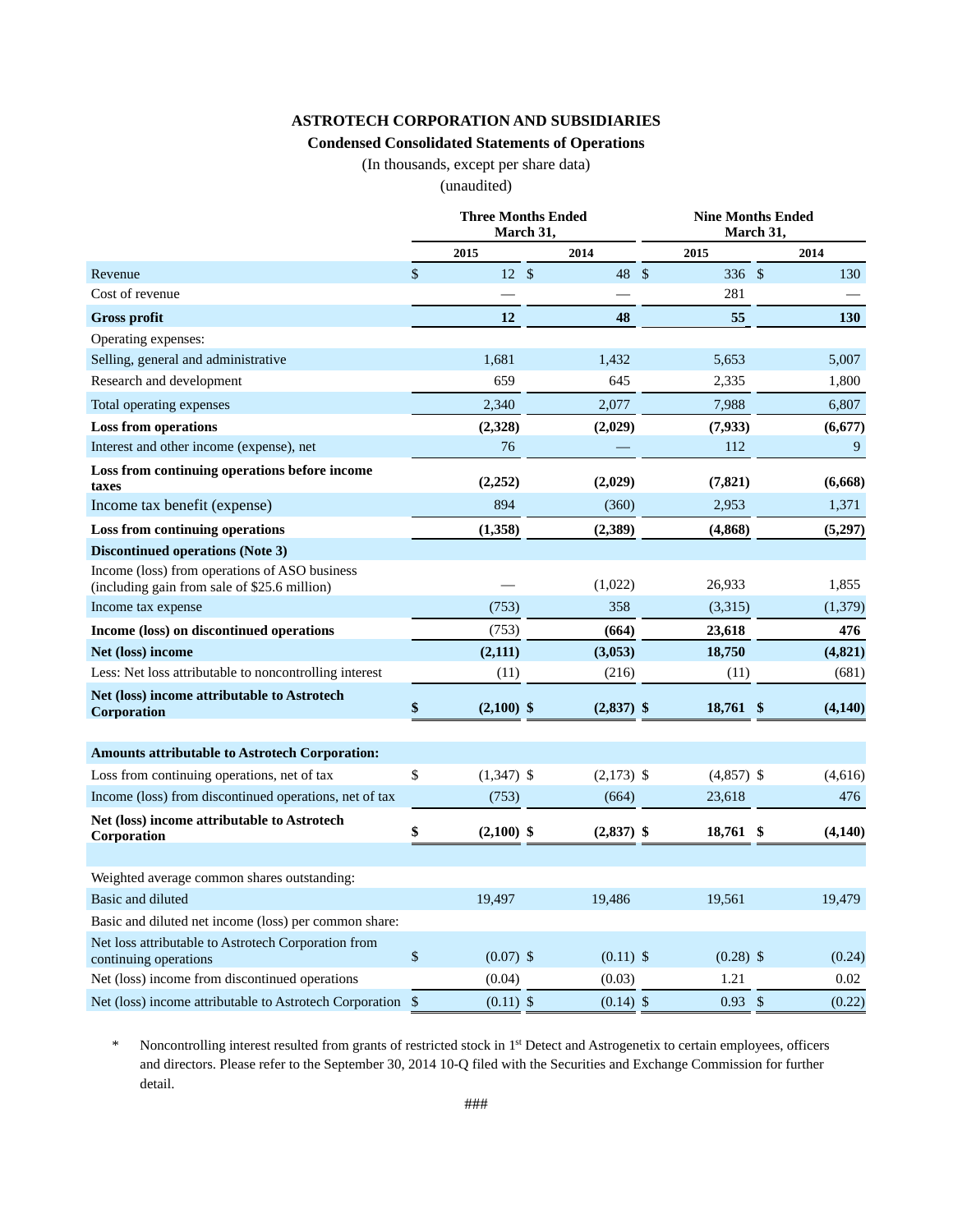#### **ASTROTECH CORPORATION AND SUBSIDIARIES**

#### **Condensed Consolidated Statements of Operations**

(In thousands, except per share data)

(unaudited)

|                                                                                               | <b>Three Months Ended</b><br>March 31, |              |              | <b>Nine Months Ended</b><br>March 31, |                   |      |            |
|-----------------------------------------------------------------------------------------------|----------------------------------------|--------------|--------------|---------------------------------------|-------------------|------|------------|
|                                                                                               |                                        | 2015         | 2014         |                                       | 2015              |      | 2014       |
| Revenue                                                                                       | $\mathbb{S}$                           | $12 \quad$   | 48 \$        |                                       | 336 \$            |      | 130        |
| Cost of revenue                                                                               |                                        |              |              |                                       | 281               |      |            |
| <b>Gross profit</b>                                                                           |                                        | 12           | 48           |                                       | 55                |      | <b>130</b> |
| Operating expenses:                                                                           |                                        |              |              |                                       |                   |      |            |
| Selling, general and administrative                                                           |                                        | 1,681        | 1,432        |                                       | 5,653             |      | 5.007      |
| Research and development                                                                      |                                        | 659          | 645          |                                       | 2,335             |      | 1,800      |
| Total operating expenses                                                                      |                                        | 2,340        | 2,077        |                                       | 7,988             |      | 6,807      |
| <b>Loss from operations</b>                                                                   |                                        | (2,328)      | (2,029)      |                                       | (7,933)           |      | (6,677)    |
| Interest and other income (expense), net                                                      |                                        | 76           |              |                                       | 112               |      | 9          |
| Loss from continuing operations before income<br>taxes                                        |                                        | (2, 252)     | (2,029)      |                                       | (7, 821)          |      | (6,668)    |
| Income tax benefit (expense)                                                                  |                                        | 894          | (360)        |                                       | 2,953             |      | 1,371      |
| <b>Loss from continuing operations</b>                                                        |                                        | (1,358)      | (2,389)      |                                       | (4,868)           |      | (5,297)    |
| <b>Discontinued operations (Note 3)</b>                                                       |                                        |              |              |                                       |                   |      |            |
| Income (loss) from operations of ASO business<br>(including gain from sale of \$25.6 million) |                                        |              | (1,022)      |                                       | 26,933            |      | 1,855      |
| Income tax expense                                                                            |                                        | (753)        | 358          |                                       | (3,315)           |      | (1,379)    |
| Income (loss) on discontinued operations                                                      |                                        | (753)        | (664)        |                                       | 23,618            |      | 476        |
| Net (loss) income                                                                             |                                        | (2, 111)     | (3,053)      |                                       | 18,750            |      | (4, 821)   |
| Less: Net loss attributable to noncontrolling interest                                        |                                        | (11)         | (216)        |                                       | (11)              |      | (681)      |
| Net (loss) income attributable to Astrotech<br>Corporation                                    | \$                                     | $(2,100)$ \$ | $(2,837)$ \$ |                                       | 18,761            | - \$ | (4,140)    |
| <b>Amounts attributable to Astrotech Corporation:</b>                                         |                                        |              |              |                                       |                   |      |            |
| Loss from continuing operations, net of tax                                                   | \$                                     | $(1,347)$ \$ | $(2,173)$ \$ |                                       | $(4,857)$ \$      |      | (4,616)    |
| Income (loss) from discontinued operations, net of tax                                        |                                        | (753)        | (664)        |                                       | 23,618            |      | 476        |
| Net (loss) income attributable to Astrotech<br>Corporation                                    |                                        | $(2,100)$ \$ | $(2,837)$ \$ |                                       | 18,761 \$         |      | (4,140)    |
|                                                                                               |                                        |              |              |                                       |                   |      |            |
| Weighted average common shares outstanding:                                                   |                                        |              |              |                                       |                   |      |            |
| Basic and diluted                                                                             |                                        | 19,497       | 19,486       |                                       | 19,561            |      | 19,479     |
| Basic and diluted net income (loss) per common share:                                         |                                        |              |              |                                       |                   |      |            |
| Net loss attributable to Astrotech Corporation from<br>continuing operations                  | \$                                     | $(0.07)$ \$  | $(0.11)$ \$  |                                       | $(0.28)$ \$       |      | (0.24)     |
| Net (loss) income from discontinued operations                                                |                                        | (0.04)       | (0.03)       |                                       | 1.21              |      | 0.02       |
| Net (loss) income attributable to Astrotech Corporation \$                                    |                                        | $(0.11)$ \$  | $(0.14)$ \$  |                                       | $0.93 \text{ } $$ |      | (0.22)     |

\* Noncontrolling interest resulted from grants of restricted stock in 1st Detect and Astrogenetix to certain employees, officers and directors. Please refer to the September 30, 2014 10-Q filed with the Securities and Exchange Commission for further detail.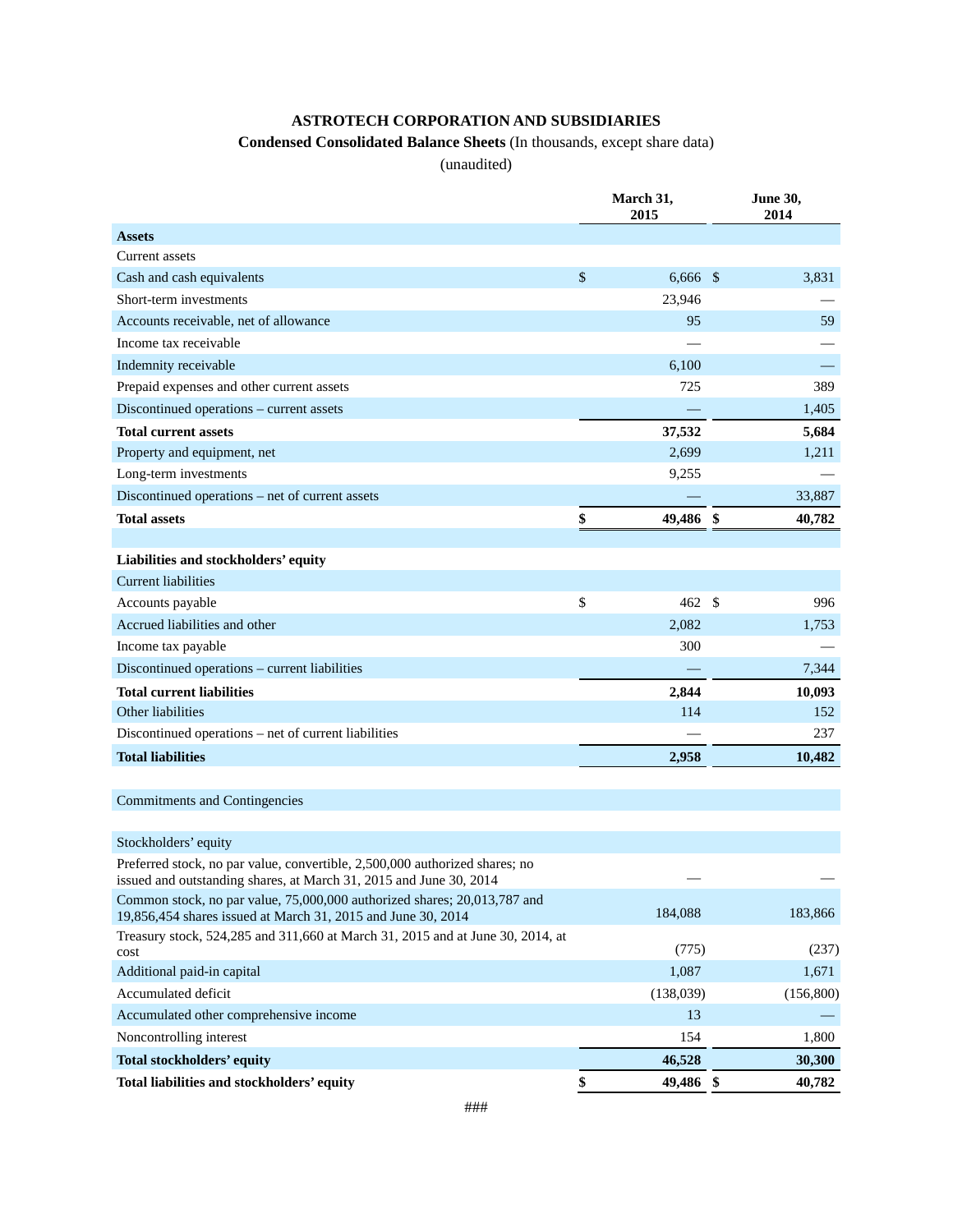# **ASTROTECH CORPORATION AND SUBSIDIARIES**

# **Condensed Consolidated Balance Sheets** (In thousands, except share data)

(unaudited)

|                                                                                                                                          | March 31,<br>2015 | <b>June 30,</b><br>2014 |            |  |
|------------------------------------------------------------------------------------------------------------------------------------------|-------------------|-------------------------|------------|--|
| <b>Assets</b>                                                                                                                            |                   |                         |            |  |
| Current assets                                                                                                                           |                   |                         |            |  |
| Cash and cash equivalents                                                                                                                | \$<br>$6,666$ \$  |                         | 3,831      |  |
| Short-term investments                                                                                                                   | 23,946            |                         |            |  |
| Accounts receivable, net of allowance                                                                                                    | 95                |                         | 59         |  |
| Income tax receivable                                                                                                                    |                   |                         |            |  |
| Indemnity receivable                                                                                                                     | 6,100             |                         |            |  |
| Prepaid expenses and other current assets                                                                                                | 725               |                         | 389        |  |
| Discontinued operations - current assets                                                                                                 |                   |                         | 1,405      |  |
| <b>Total current assets</b>                                                                                                              | 37,532            |                         | 5,684      |  |
| Property and equipment, net                                                                                                              | 2,699             |                         | 1,211      |  |
| Long-term investments                                                                                                                    | 9,255             |                         |            |  |
| Discontinued operations – net of current assets                                                                                          |                   |                         | 33,887     |  |
| <b>Total assets</b>                                                                                                                      | \$<br>49,486 \$   |                         | 40,782     |  |
| Liabilities and stockholders' equity                                                                                                     |                   |                         |            |  |
| <b>Current liabilities</b>                                                                                                               |                   |                         |            |  |
| Accounts payable                                                                                                                         | \$<br>462 \$      |                         | 996        |  |
| Accrued liabilities and other                                                                                                            | 2,082             |                         | 1,753      |  |
| Income tax payable                                                                                                                       | 300               |                         |            |  |
| Discontinued operations - current liabilities                                                                                            |                   |                         | 7,344      |  |
| <b>Total current liabilities</b>                                                                                                         | 2,844             |                         | 10,093     |  |
| Other liabilities                                                                                                                        | 114               |                         | 152        |  |
| Discontinued operations – net of current liabilities                                                                                     |                   |                         | 237        |  |
| <b>Total liabilities</b>                                                                                                                 | 2,958             |                         | 10,482     |  |
|                                                                                                                                          |                   |                         |            |  |
| Commitments and Contingencies                                                                                                            |                   |                         |            |  |
| Stockholders' equity                                                                                                                     |                   |                         |            |  |
| Preferred stock, no par value, convertible, 2,500,000 authorized shares; no                                                              |                   |                         |            |  |
| issued and outstanding shares, at March 31, 2015 and June 30, 2014                                                                       |                   |                         |            |  |
| Common stock, no par value, 75,000,000 authorized shares; 20,013,787 and<br>19,856,454 shares issued at March 31, 2015 and June 30, 2014 | 184,088           |                         | 183,866    |  |
| Treasury stock, 524,285 and 311,660 at March 31, 2015 and at June 30, 2014, at<br>cost                                                   | (775)             |                         | (237)      |  |
| Additional paid-in capital                                                                                                               | 1,087             |                         | 1,671      |  |
| Accumulated deficit                                                                                                                      | (138,039)         |                         | (156, 800) |  |
| Accumulated other comprehensive income                                                                                                   | 13                |                         |            |  |
| Noncontrolling interest                                                                                                                  | 154               |                         | 1,800      |  |
| <b>Total stockholders' equity</b>                                                                                                        | 46,528            |                         | 30,300     |  |
| Total liabilities and stockholders' equity                                                                                               | \$<br>49,486 \$   |                         | 40,782     |  |